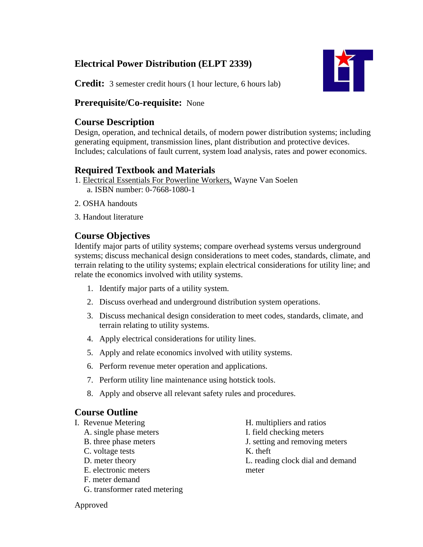# **Electrical Power Distribution (ELPT 2339)**



**Credit:** 3 semester credit hours (1 hour lecture, 6 hours lab)

## **Prerequisite/Co-requisite:** None

## **Course Description**

Design, operation, and technical details, of modern power distribution systems; including generating equipment, transmission lines, plant distribution and protective devices. Includes; calculations of fault current, system load analysis, rates and power economics.

# **Required Textbook and Materials**

- 1. Electrical Essentials For Powerline Workers, Wayne Van Soelen a. ISBN number: 0-7668-1080-1
- 2. OSHA handouts
- 3. Handout literature

# **Course Objectives**

Identify major parts of utility systems; compare overhead systems versus underground systems; discuss mechanical design considerations to meet codes, standards, climate, and terrain relating to the utility systems; explain electrical considerations for utility line; and relate the economics involved with utility systems.

- 1. Identify major parts of a utility system.
- 2. Discuss overhead and underground distribution system operations.
- 3. Discuss mechanical design consideration to meet codes, standards, climate, and terrain relating to utility systems.
- 4. Apply electrical considerations for utility lines.
- 5. Apply and relate economics involved with utility systems.
- 6. Perform revenue meter operation and applications.
- 7. Perform utility line maintenance using hotstick tools.
- 8. Apply and observe all relevant safety rules and procedures.

# **Course Outline**

- I. Revenue Metering
	- A. single phase meters
	- B. three phase meters
	- C. voltage tests
	- D. meter theory
	- E. electronic meters
	- F. meter demand
	- G. transformer rated metering
- H. multipliers and ratios I. field checking meters
- J. setting and removing meters
- K. theft
- L. reading clock dial and demand meter

Approved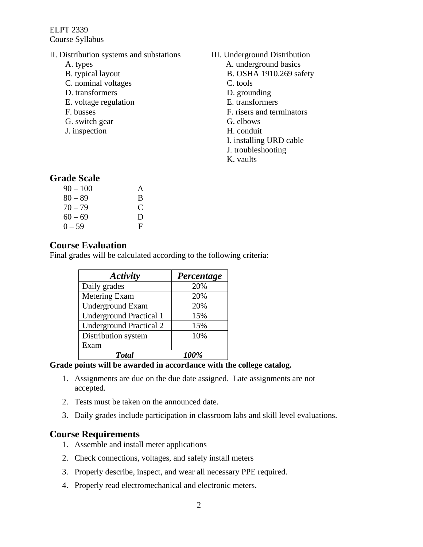ELPT 2339 Course Syllabus

- II. Distribution systems and substations
	- A. types
	- B. typical layout
	- C. nominal voltages
	- D. transformers
	- E. voltage regulation
	- F. busses
	- G. switch gear
	- J. inspection

III. Underground Distribution

- A. underground basics
	- B. OSHA 1910.269 safety
	- C. tools
	- D. grounding
- E. transformers
- F. risers and terminators
- G. elbows
- H. conduit
- I. installing URD cable
- J. troubleshooting
- K. vaults

## **Grade Scale**

| $90 - 100$ | A |
|------------|---|
| $80 - 89$  | B |
| $70 - 79$  | C |
| $60 - 69$  | D |
| $0 - 59$   | F |

#### **Course Evaluation**

Final grades will be calculated according to the following criteria:

| Activity                       | Percentage |
|--------------------------------|------------|
| Daily grades                   | 20%        |
| Metering Exam                  | 20%        |
| <b>Underground Exam</b>        | 20%        |
| <b>Underground Practical 1</b> | 15%        |
| <b>Underground Practical 2</b> | 15%        |
| Distribution system            | 10%        |
| Exam                           |            |
| <b>Total</b>                   | 100%       |

#### **Grade points will be awarded in accordance with the college catalog.**

- 1. Assignments are due on the due date assigned. Late assignments are not accepted.
- 2. Tests must be taken on the announced date.
- 3. Daily grades include participation in classroom labs and skill level evaluations.

#### **Course Requirements**

- 1. Assemble and install meter applications
- 2. Check connections, voltages, and safely install meters
- 3. Properly describe, inspect, and wear all necessary PPE required.
- 4. Properly read electromechanical and electronic meters.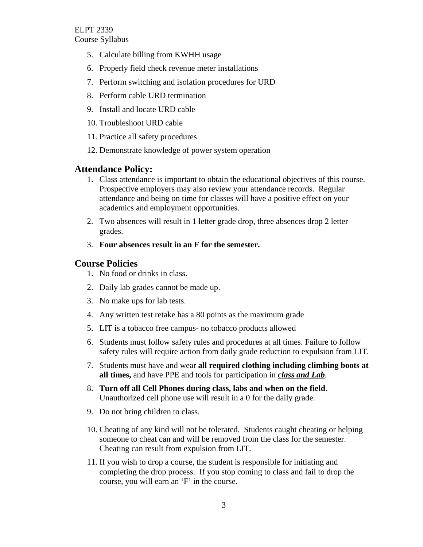- 5. Calculate billing from KWHH usage
- 6. Properly field check revenue meter installations
- 7. Perform switching and isolation procedures for URD
- 8. Perform cable URD termination
- 9. Install and locate URD cable
- 10. Troubleshoot URD cable
- 11. Practice all safety procedures
- 12. Demonstrate knowledge of power system operation

### **Attendance Policy:**

- 1. Class attendance is important to obtain the educational objectives of this course. Prospective employers may also review your attendance records. Regular attendance and being on time for classes will have a positive effect on your academics and employment opportunities.
- 2. Two absences will result in 1 letter grade drop, three absences drop 2 letter grades.
- 3. **Four absences result in an F for the semester.**

### **Course Policies**

- 1. No food or drinks in class.
- 2. Daily lab grades cannot be made up.
- 3. No make ups for lab tests.
- 4. Any written test retake has a 80 points as the maximum grade
- 5. LIT is a tobacco free campus- no tobacco products allowed
- 6. Students must follow safety rules and procedures at all times. Failure to follow safety rules will require action from daily grade reduction to expulsion from LIT.
- 7. Students must have and wear **all required clothing including climbing boots at all times,** and have PPE and tools for participation in *class and Lab*.
- 8. **Turn off all Cell Phones during class, labs and when on the field**. Unauthorized cell phone use will result in a 0 for the daily grade.
- 9. Do not bring children to class.
- 10. Cheating of any kind will not be tolerated. Students caught cheating or helping someone to cheat can and will be removed from the class for the semester. Cheating can result from expulsion from LIT.
- 11. If you wish to drop a course, the student is responsible for initiating and completing the drop process. If you stop coming to class and fail to drop the course, you will earn an 'F' in the course.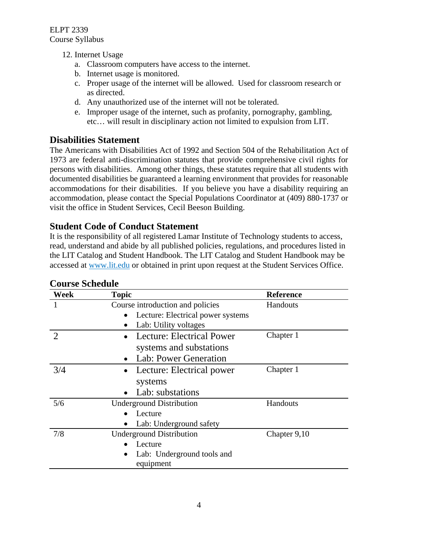- 12. Internet Usage
	- a. Classroom computers have access to the internet.
	- b. Internet usage is monitored.
	- c. Proper usage of the internet will be allowed. Used for classroom research or as directed.
	- d. Any unauthorized use of the internet will not be tolerated.
	- e. Improper usage of the internet, such as profanity, pornography, gambling, etc… will result in disciplinary action not limited to expulsion from LIT.

## **Disabilities Statement**

The Americans with Disabilities Act of 1992 and Section 504 of the Rehabilitation Act of 1973 are federal anti-discrimination statutes that provide comprehensive civil rights for persons with disabilities. Among other things, these statutes require that all students with documented disabilities be guaranteed a learning environment that provides for reasonable accommodations for their disabilities. If you believe you have a disability requiring an accommodation, please contact the Special Populations Coordinator at (409) 880-1737 or visit the office in Student Services, Cecil Beeson Building.

## **Student Code of Conduct Statement**

It is the responsibility of all registered Lamar Institute of Technology students to access, read, understand and abide by all published policies, regulations, and procedures listed in the LIT Catalog and Student Handbook. The LIT Catalog and Student Handbook may be accessed at www.lit.edu or obtained in print upon request at the Student Services Office.

| Week                  | <b>Topic</b>                           | <b>Reference</b> |
|-----------------------|----------------------------------------|------------------|
|                       | Course introduction and policies       | Handouts         |
|                       | Lecture: Electrical power systems      |                  |
|                       | Lab: Utility voltages                  |                  |
| $\mathcal{D}_{\cdot}$ | Lecture: Electrical Power              | Chapter 1        |
|                       | systems and substations                |                  |
|                       | Lab: Power Generation                  |                  |
| 3/4                   | Lecture: Electrical power<br>$\bullet$ | Chapter 1        |
|                       | systems                                |                  |
|                       | Lab: substations                       |                  |
| 5/6                   | <b>Underground Distribution</b>        | Handouts         |
|                       | Lecture                                |                  |
|                       | Lab: Underground safety                |                  |
| 7/8                   | <b>Underground Distribution</b>        | Chapter 9,10     |
|                       | Lecture                                |                  |
|                       | Lab: Underground tools and             |                  |
|                       | equipment                              |                  |

### **Course Schedule**